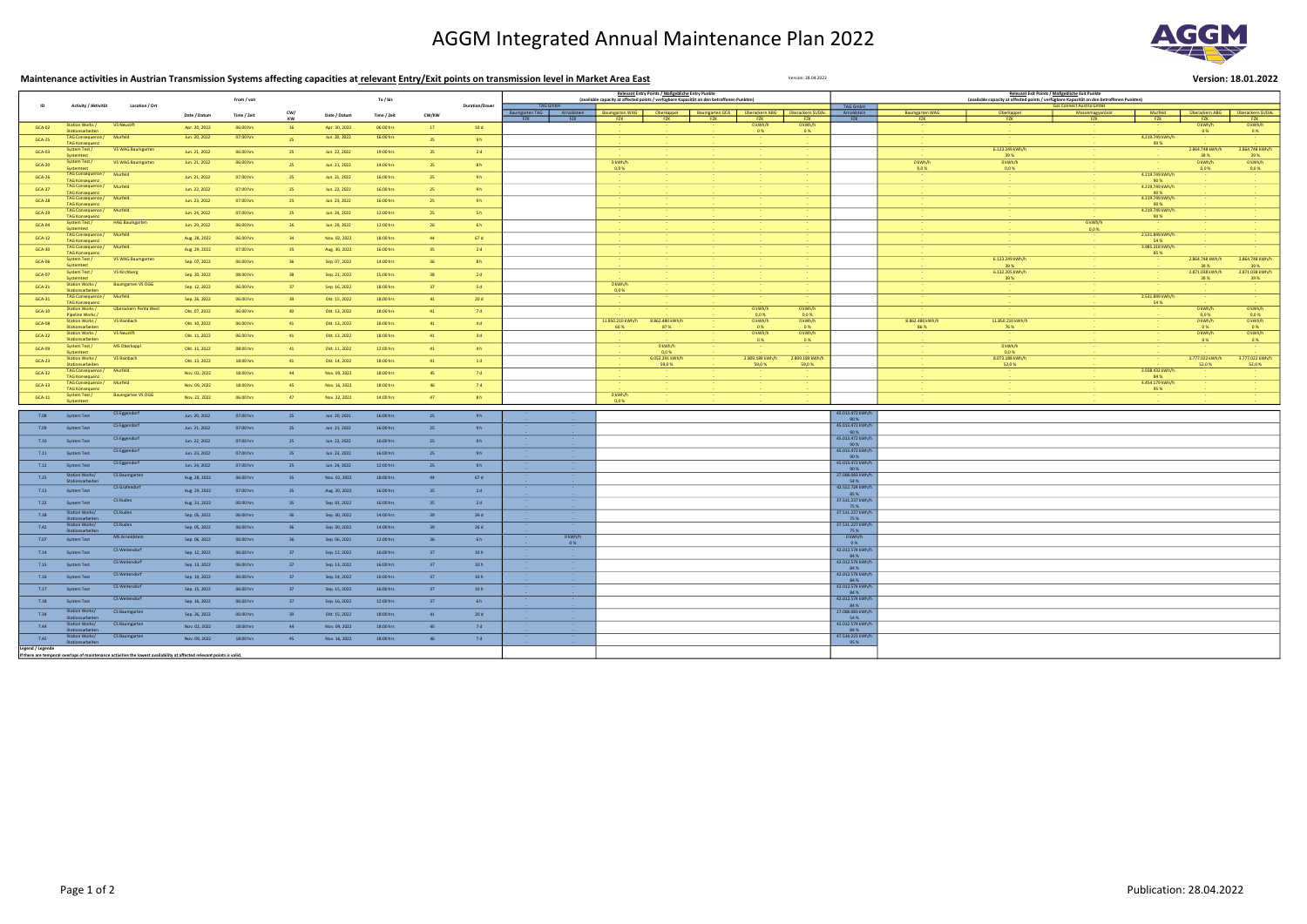## AGGM Integrated Annual Maintenance Plan 2022

| Maintenance activities in Austrian Transmission Systems affecting capacities at relevant Entry/Exit points on transmission level in Market Area East<br>Version: 28.04.2022 |                                                   |                                                                                                                        |               |             |           |               |             |       |                       |                                                                                                              |                          |                       |                                          | Version: 18.01.2022       |                           |                                                                                           |                          |         |                         |                              |                                |
|-----------------------------------------------------------------------------------------------------------------------------------------------------------------------------|---------------------------------------------------|------------------------------------------------------------------------------------------------------------------------|---------------|-------------|-----------|---------------|-------------|-------|-----------------------|--------------------------------------------------------------------------------------------------------------|--------------------------|-----------------------|------------------------------------------|---------------------------|---------------------------|-------------------------------------------------------------------------------------------|--------------------------|---------|-------------------------|------------------------------|--------------------------------|
| ID                                                                                                                                                                          |                                                   | Location / Ort                                                                                                         |               |             |           |               |             |       |                       | <b>Relevant Entry Points / Maßgebliche Entry Punkte</b>                                                      |                          |                       |                                          |                           |                           | Relevant Exit Points / Maßgebliche Exit Punkte                                            |                          |         |                         |                              |                                |
|                                                                                                                                                                             | Activity / Aktivität                              |                                                                                                                        |               | From / von  |           |               | To / bis    |       | <b>Duration/Dauer</b> | (available capacity at affected points / verfügbare Kapazität an den betroffenen Punkten)<br><b>TAG GmbH</b> |                          |                       |                                          |                           | TAG GmbH                  | (available capacity at affected points / verfügbare Kapazität an den betroffenen Punkten) |                          |         |                         |                              |                                |
|                                                                                                                                                                             |                                                   |                                                                                                                        | Date / Datum  | Time / Zeit | CW/<br>KW | Date / Datum  | Time / Zeit | CW/KW |                       | Baumgarten TAG   Arnold<br>FZK<br><b>FZK</b><br>F7K                                                          | Oberkappel               | Baumgarten GCA<br>F7K | Überackern ABG   Überackern SUDAL<br>FZK | <b>FZK</b>                | Arnoldstein<br><b>FZK</b> | <b>Baumgarten WAG</b><br><b>FZK</b>                                                       |                          |         | Murfeld<br>FZK          | Überackern ABG<br><b>FZK</b> | Überackern SUDAL<br><b>FZK</b> |
| <b>GCA-02</b>                                                                                                                                                               | <b>Station Works /</b><br>Stationsarbeiter        | <b>VS Neustift</b>                                                                                                     | Apr. 20, 2022 | 06:00 hrs   | 16        | Apr. 30, 2022 | 06:00 hrs   | 17    | 10 d                  |                                                                                                              |                          |                       | 0 kWh/h<br>0%                            | 0 kWh/h<br>0%             |                           |                                                                                           |                          |         |                         | 0 kWh/h<br>0%                | 0 kWh/h<br>0%                  |
| <b>GCA-25</b>                                                                                                                                                               | TAG Consequence /<br><b>TAG Konsequenz</b>        | Murfeld                                                                                                                | Jun. 20, 2022 | 07:00 hrs   | 25        | Jun. 20, 2022 | 16:00 hrs   | 25    | 9h                    |                                                                                                              |                          |                       |                                          |                           |                           |                                                                                           |                          |         | 4.219.749 kWh/h<br>90 % |                              |                                |
| GCA-03                                                                                                                                                                      | System Test /<br>Systemtest                       | VS WAG Baumgarter                                                                                                      | Jun. 21, 2022 | 06:00 hrs   | 25        | Jun. 22, 2022 | 19:00 hrs   | 25    | 2d                    |                                                                                                              |                          |                       |                                          |                           |                           |                                                                                           | 6.123.249 kWh/h<br>39%   |         |                         | 2.864.748 kWh/h<br>39 %      | 2.864.748 kWh/h<br>39 %        |
| <b>GCA-20</b>                                                                                                                                                               | System Test /<br>Systemtest                       | VS WAG Baumgarten                                                                                                      | Jun. 21, 2022 | 06:00 hrs   | 25        | Jun. 21, 2022 | 14:00 hrs   | 25    | 8h                    | 0 kWh/h<br>0.0%                                                                                              |                          |                       |                                          |                           |                           | 0 kWh/h<br>0,0%                                                                           | 0 kWh/h<br>0,0%          |         |                         | 0 kWh/h<br>0,0 %             | 0 kWh/h<br>0,0%                |
| <b>GCA-26</b>                                                                                                                                                               | <b>TAG Consequence /</b>                          | Murfeld                                                                                                                | Jun. 21, 2022 | 07:00 hrs   | 25        | Jun. 21, 2022 | 16:00 hrs   | 25    | 9h                    |                                                                                                              |                          |                       |                                          |                           |                           |                                                                                           |                          |         | 4.219.749 kWh/h         |                              |                                |
| <b>GCA-27</b>                                                                                                                                                               | <b>TAG Konsequenz</b><br><b>TAG Consequence /</b> | Murfeld                                                                                                                | Jun. 22, 2022 | 07:00 hrs   | 25        | Jun. 22, 2022 | 16:00 hrs   | 25    | 9h                    |                                                                                                              |                          |                       |                                          |                           |                           |                                                                                           |                          |         | 90 %<br>4.219.749 kWh/h |                              |                                |
| <b>GCA-28</b>                                                                                                                                                               | <b>TAG Konsequer</b><br><b>TAG Consequence /</b>  | Murfeld                                                                                                                | Jun. 23, 2022 | 07:00 hrs   | 25        | Jun. 23, 2022 | 16:00 hrs   | 25    | 9h                    |                                                                                                              |                          |                       |                                          |                           |                           |                                                                                           |                          |         | 90 %<br>4.219.749 kWh/h |                              |                                |
| <b>GCA-29</b>                                                                                                                                                               | <b>TAG Konsequen</b><br><b>TAG Consequence /</b>  | Murfeld                                                                                                                | Jun. 24, 2022 | 07:00 hrs   | 25        | Jun. 24, 2022 | 12:00 hrs   | 25    | 5h                    |                                                                                                              |                          |                       |                                          |                           |                           |                                                                                           |                          |         | 90 %<br>4.219.749 kWh/h |                              |                                |
| <b>GCA-04</b>                                                                                                                                                               | <b>TAG Konsequen</b><br><b>System Test /</b>      | <b>HAG Baumgarten</b>                                                                                                  | Jun. 29, 2022 | 06:00 hrs   | 26        | Jun. 29, 2022 | 12:00 hrs   | 26    | 6h                    |                                                                                                              |                          |                       |                                          |                           |                           |                                                                                           |                          | 0 kWh/h | 90 %                    |                              |                                |
| GCA-12                                                                                                                                                                      | Systemtest<br>TAG Consequence /                   | Murfeld                                                                                                                | Aug. 28, 2022 | 06:00 hrs   | 34        | Nov. 02, 2022 | 18:00 hrs   | 44    | 67 d                  |                                                                                                              |                          |                       |                                          |                           |                           |                                                                                           |                          | 0,0%    | 2.531.849 kWh/h         |                              |                                |
| <b>GCA-30</b>                                                                                                                                                               | <b>TAG Konseque</b><br>TAG Consequence /          | Murfeld                                                                                                                | Aug. 29, 2022 | 07:00 hrs   | 35        | Aug. 30, 2022 | 16:00 hrs   | 35    | 2d                    |                                                                                                              |                          |                       |                                          |                           |                           |                                                                                           |                          |         | 54 %<br>3.985.318 kWh/h |                              |                                |
| <b>GCA-06</b>                                                                                                                                                               | <b>TAG Konsequenz</b><br>System Test /            | VS WAG Baumgarter                                                                                                      |               | 06:00 hrs   | 36        | Sep. 07, 2022 | 14:00 hrs   | 36    | 8h                    |                                                                                                              |                          |                       |                                          |                           |                           |                                                                                           | 6.123.249 kWh/h          |         | 85 %                    | 2.864.748 kWh/h              | 2.864.748 kWh/h                |
|                                                                                                                                                                             | <b>Systemtest</b><br>System Test /                | <b>VS Kirchberg</b>                                                                                                    | Sep. 07, 2022 |             |           |               |             | 38    |                       |                                                                                                              |                          |                       |                                          |                           |                           |                                                                                           | 39 %<br>6.132.205 kWh/h  |         |                         | 39%<br>2.871.038 kWh/h       | 39 %<br>2.871.038 kWh/h        |
| GCA-07                                                                                                                                                                      | Systemtes<br><b>Station Works /</b>               | <b>Baumgarten VS OGG</b>                                                                                               | Sep. 20, 2022 | 08:00 hrs   | 38        | Sep. 21, 2022 | 15:00 hrs   |       | 2d                    | 0 kWh/h                                                                                                      |                          |                       |                                          |                           |                           |                                                                                           | 39%                      |         |                         | 39 %                         | 39 %                           |
| GCA-21                                                                                                                                                                      | Stationsarbeiter<br><b>TAG Consequence /</b>      | Murfeld                                                                                                                | Sep. 12, 2022 | 06:00 hrs   | 37        | Sep. 16, 2022 | 18:00 hrs   | 37    | 5 d                   | 0.0%                                                                                                         |                          |                       |                                          |                           |                           |                                                                                           |                          |         | 2.531.849 kWh/h         |                              |                                |
| GCA-31                                                                                                                                                                      | <b>TAG Konsequenz</b><br><b>Station Works /</b>   | Überackern Penta West                                                                                                  | Sep. 26, 2022 | 06:00 hrs   | 39        | Okt. 15, 2022 | 18:00 hrs   | 41    | 20d                   |                                                                                                              |                          |                       | 0 kWh/h                                  | 0 kWh/h                   |                           |                                                                                           |                          |         | 54 %                    | 0 kWh/h                      | 0 kWh/h                        |
| <b>GCA-10</b>                                                                                                                                                               | <b>Pipeline Works</b><br>Station Works /          | VS Rainbach                                                                                                            | Okt. 07, 2022 | 06:00 hrs   | 40        | Okt. 13, 2022 | 18:00 hrs   | 41    | 7d                    | 11.850.210 kWh/h                                                                                             | 8.862.480 kWh/h          |                       | 0.0%<br>0 kWh/h                          | 0,0%                      |                           | 8.862.480 kWh/h                                                                           | 11.850.210 kWh/h         |         |                         | 0.0%<br>0 kWh/h              | 0.0%<br>0 kWh/h                |
| <b>GCA-08</b>                                                                                                                                                               | Stationsarbeite                                   |                                                                                                                        | Okt. 10, 2022 | 06:00 hrs   | 41        | Okt. 13, 2022 | 18:00 hrs   | 41    | 4 d                   | 60 %                                                                                                         | 87%                      |                       | 0%                                       | 0 kWh/h<br>0%             |                           | 86 %                                                                                      | 76 %                     |         |                         | 0%                           | 0%                             |
| <b>GCA-22</b>                                                                                                                                                               | <b>Station Works /</b><br>Stationsarbeiter        | <b>VS Neustift</b>                                                                                                     | Okt. 11, 2022 | 06:00 hrs   | 41        | Okt. 13, 2022 | 18:00 hrs   | 41    | 3d                    |                                                                                                              |                          |                       | 0 kWh/h<br>0%                            | 0 kWh/h<br>0%             |                           |                                                                                           |                          |         |                         | 0 kWh/h<br>0%                | 0 kWh/h<br>0%                  |
| GCA-09                                                                                                                                                                      | System Test /<br>Systemtest                       | MS Oberkappl                                                                                                           | Okt. 11, 2022 | 08:00 hrs   | 41        | Okt. 11, 2022 | 12:00 hrs   | 41    | 4h                    |                                                                                                              | 0 kWh/h<br>0,0%          |                       |                                          |                           |                           |                                                                                           | 0 kWh/h<br>0,0%          |         |                         |                              |                                |
| $GCA-23$                                                                                                                                                                    | <b>Station Works /</b><br>Stationsarbeiter        | <b>VS Rainbach</b>                                                                                                     | Okt. 13, 2022 | 18:00 hrs   | $-41$     | Okt. 14, 2022 | 18:00 hrs   | 41    | 1d                    |                                                                                                              | 6.053.291 kWh/h<br>59,0% |                       | 2.809.189 kWh/h<br>59,0 %                | 2.809.189 kWh/l<br>59,0 % |                           |                                                                                           | 8.073.188 kWh/h<br>52,0% |         |                         | 3.777.022 kWh/h<br>52,0 %    | 3.777.022 kWh/h<br>52,0 %      |
| GCA-32                                                                                                                                                                      | <b>TAG Consequence /</b><br><b>TAG Konseque</b>   | Murfeld                                                                                                                | Nov. 02, 2022 | 18:00 hrs   | $-44$     | Nov. 09, 2022 | 18:00 hrs   | 45    | 7 d                   |                                                                                                              |                          |                       |                                          |                           |                           |                                                                                           |                          |         | 3.938.432 kWh/h<br>84 % |                              |                                |
| <b>GCA-33</b>                                                                                                                                                               | <b>TAG Consequence /</b><br><b>TAG Konsequenz</b> | Murfeld                                                                                                                | Nov. 09, 2022 | 18:00 hrs   | 45        | Nov. 16, 2022 | 18:00 hrs   | 46    | 7d                    |                                                                                                              |                          |                       |                                          |                           |                           |                                                                                           |                          |         | 4.454.179 kWh/h<br>95 % |                              |                                |
| GCA-11                                                                                                                                                                      | <b>System Test /</b><br>Systemtest                | <b>Baumgarten VS OGG</b>                                                                                               | Nov. 22, 2022 | 06:00 hrs   | 47        | Nov. 22, 2022 | 14:00 hrs   | 47    | 8h                    | 0 kWh/h<br>0.0%                                                                                              |                          |                       |                                          |                           |                           |                                                                                           |                          |         |                         |                              |                                |
| T.08                                                                                                                                                                        | <b>System Test</b>                                | CS Eggendorf                                                                                                           | Jun. 20, 2022 | 07:00 hrs   | 25        | Jun. 20, 2021 | 16:00 hrs   | 25    | 9h                    |                                                                                                              |                          |                       |                                          |                           | 45.013.472 kWh/           |                                                                                           |                          |         |                         |                              |                                |
| T.09                                                                                                                                                                        | <b>System Test</b>                                | CS Eggendorf                                                                                                           | Jun. 21, 2022 | 07:00 hrs   |           | Jun. 21, 2022 | 16:00 hrs   | 25    | 9h                    |                                                                                                              |                          |                       |                                          |                           | 90 %<br>45.013.472 kW     |                                                                                           |                          |         |                         |                              |                                |
|                                                                                                                                                                             |                                                   | CS Eggendorf                                                                                                           | Jun. 22, 2022 | 07:00 hrs   | 25        | Jun. 22, 2022 | 16:00 hrs   |       | 9h                    |                                                                                                              |                          |                       |                                          |                           | 90 %<br>45.013.472 kWh    |                                                                                           |                          |         |                         |                              |                                |
| T.10                                                                                                                                                                        | <b>System Test</b>                                | CS Eggendorf                                                                                                           |               |             | 25        |               |             | 25    |                       |                                                                                                              |                          |                       |                                          |                           | 90 %<br>45.013.472 kWh/   |                                                                                           |                          |         |                         |                              |                                |
| T.11                                                                                                                                                                        | <b>System Test</b>                                | CS Eggendorf                                                                                                           | Jun. 23, 2022 | 07:00 hrs   | 25        | Jun. 23, 2022 | 16:00 hrs   | 25    | 9h                    |                                                                                                              |                          |                       |                                          |                           | 90 %<br>45.013.472 kWh/l  |                                                                                           |                          |         |                         |                              |                                |
| T.12                                                                                                                                                                        | <b>System Test</b><br><b>Station Works/</b>       | CS Baumgarten                                                                                                          | Jun. 24, 2022 | 07:00 hrs   | 25        | Jun. 24, 2022 | 12:00 hrs   | 25    | 9h                    |                                                                                                              |                          |                       |                                          |                           | 90 %<br>27.008.083 kWh/   |                                                                                           |                          |         |                         |                              |                                |
| T.25                                                                                                                                                                        |                                                   | CS Grafendorf                                                                                                          | Aug. 28, 2022 | 06:00 hrs   | 35        | Nov. 02, 2022 | 18:00 hrs   | 44    | 67 d                  |                                                                                                              |                          |                       |                                          |                           | 54 %<br>42.512.724 kWh/   |                                                                                           |                          |         |                         |                              |                                |
| T.13                                                                                                                                                                        | <b>System Test</b>                                |                                                                                                                        | Aug. 29, 2022 | 07:00 hrs   | 35        | Aug. 30, 2022 | 16:00 hrs   | 35    | 2d                    |                                                                                                              |                          |                       |                                          |                           | 85 %                      |                                                                                           |                          |         |                         |                              |                                |
| T.22                                                                                                                                                                        | <b>System Test</b>                                | CS Ruden                                                                                                               | Aug. 31, 2022 | 06:00 hrs   | 35        | Sep. 01, 2022 | 16:00 hrs   | 35    | 2d                    |                                                                                                              |                          |                       |                                          |                           | 37.511.227 kWh<br>75 %    |                                                                                           |                          |         |                         |                              |                                |
| T.38                                                                                                                                                                        | <b>Station Works/</b><br>Stationsarbeite          | CS Ruden                                                                                                               | Sep. 05, 2022 | 06:00 hrs   | 36        | Sep. 30, 2022 | 14:00 hrs   | 39    | 26d                   |                                                                                                              |                          |                       |                                          |                           | 37.511.227 kWh/<br>75 %   |                                                                                           |                          |         |                         |                              |                                |
| T.42                                                                                                                                                                        | Station Works/<br>Stationsarbeite                 | CS Ruden                                                                                                               | Sep. 05, 2022 | 06:00 hrs   | 36        | Sep. 30, 2022 | 14:00 hrs   | 39    | 26 d                  |                                                                                                              |                          |                       |                                          |                           | 37.511.227 kWh<br>75 %    |                                                                                           |                          |         |                         |                              |                                |
| T.07                                                                                                                                                                        | <b>System Test</b>                                | <b>MS Arnoldstein</b>                                                                                                  | Sep. 06, 2022 | 06:00 hrs   | 36        | Sep. 06, 2021 | 12:00 hrs   | 36    | 6 <sub>h</sub>        | 0 kWh/h<br>0%                                                                                                |                          |                       |                                          |                           | 0 kWh/h<br>0%             |                                                                                           |                          |         |                         |                              |                                |
| T.14                                                                                                                                                                        | <b>System Test</b>                                | CS Weitendorf                                                                                                          | Sep. 12, 2022 | 06:00 hrs   | 37        | Sep. 12, 2022 | 16:00 hrs   | 37    | 10h                   |                                                                                                              |                          |                       |                                          |                           | 42.012.574 kWh<br>84 %    |                                                                                           |                          |         |                         |                              |                                |
| T.15                                                                                                                                                                        | <b>System Test</b>                                | CS Weitendorf                                                                                                          | Sep. 13, 2022 | 06:00 hrs   | 37        | Sep. 13, 2022 | 16:00 hrs   | 37    | 10h                   |                                                                                                              |                          |                       |                                          |                           | 42.012.574 kWh/l<br>84 %  |                                                                                           |                          |         |                         |                              |                                |
|                                                                                                                                                                             | T.16 System Test                                  | CS Weitendorf                                                                                                          | Sep. 14, 2022 | 06:00 hrs   | $-37$     | Sep. 14, 2022 | 16:00 hrs   | 37    | 10h                   |                                                                                                              |                          |                       |                                          |                           | 42.012.574 kWh/h<br>84 %  |                                                                                           |                          |         |                         |                              |                                |
| T.17                                                                                                                                                                        | <b>System Test</b>                                | CS Weitendorf                                                                                                          | Sep. 15, 2022 | 06:00 hrs   | $-37$     | Sep. 15, 2022 | 16:00 hrs   | 37    | 10h                   |                                                                                                              |                          |                       |                                          |                           | 42.012.574 kWh/h<br>84 %  |                                                                                           |                          |         |                         |                              |                                |
| T.18                                                                                                                                                                        | System Test                                       | CS Weitendorf                                                                                                          | Sep. 16, 2022 | 06:00 hrs   | $-37$     | Sep. 16, 2022 | 12:00 hrs   | 37    | $-6h$                 |                                                                                                              |                          |                       |                                          |                           | 42.012.574 kWh/h<br>84 %  |                                                                                           |                          |         |                         |                              |                                |
| T.34                                                                                                                                                                        | Station Works/<br>Stationsarbeiten                | CS Baumgarten                                                                                                          | Sep. 26, 2022 | 06:00 hrs   | 39        | Okt. 15, 2022 | 18:00 hrs   | $-41$ | 20d                   |                                                                                                              |                          |                       |                                          |                           | 27.008.083 kWh/h<br>54 %  |                                                                                           |                          |         |                         |                              |                                |
| T.44                                                                                                                                                                        | Station Works/<br>Stationsarbeiten                | CS Baumgarten                                                                                                          | Nov. 02, 2022 | 18:00 hrs   | 44        | Nov. 09, 2022 | 18:00 hrs   | 45    | 7d                    |                                                                                                              |                          |                       |                                          |                           | 42.012.574 kWh/h<br>84 %  |                                                                                           |                          |         |                         |                              |                                |
| T.45                                                                                                                                                                        | Station Works/<br>Stationsarbeiter                | CS Baumgarten                                                                                                          | Nov. 09, 2022 | 18:00 hrs   | 45        | Nov. 16, 2022 | 18:00 hrs   | 46    | 7d                    |                                                                                                              |                          |                       |                                          |                           | 47.514.221 kWh/l<br>95 %  |                                                                                           |                          |         |                         |                              |                                |
| Legend / Legende                                                                                                                                                            |                                                   | If there are temporal overlaps of maintenance activities the lowest availability at affected relevant points is valid. |               |             |           |               |             |       |                       |                                                                                                              |                          |                       |                                          |                           |                           |                                                                                           |                          |         |                         |                              |                                |
|                                                                                                                                                                             |                                                   |                                                                                                                        |               |             |           |               |             |       |                       |                                                                                                              |                          |                       |                                          |                           |                           |                                                                                           |                          |         |                         |                              |                                |